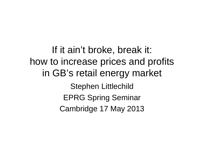If it ain't broke, break it: how to increase prices and profits in GB's retail energy market Stephen Littlechild EPRG Spring Seminar Cambridge 17 May 2013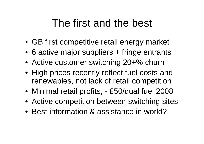#### The first and the best

- GB first competitive retail energy market
- 6 active major suppliers + fringe entrants
- Active customer switching 20+% churn
- High prices recently reflect fuel costs and renewables, not lack of retail competition
- Minimal retail profits, £50/dual fuel 2008
- Active competition between switching sites
- Best information & assistance in world?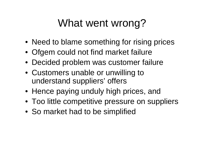### What went wrong?

- Need to blame something for rising prices
- Ofgem could not find market failure
- Decided problem was customer failure
- Customers unable or unwilling to understand suppliers' offers
- Hence paying unduly high prices, and
- Too little competitive pressure on suppliers
- So market had to be simplified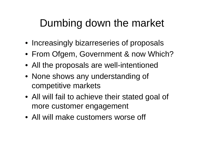# Dumbing down the market

- Increasingly bizarreseries of proposals
- From Ofgem, Government & now Which?
- All the proposals are well-intentioned
- None shows any understanding of competitive markets
- All will fail to achieve their stated goal of more customer engagement
- All will make customers worse off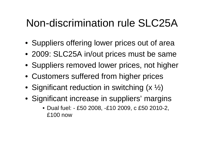#### Non-discrimination rule SLC25A

- Suppliers offering lower prices out of area
- 2009: SLC25A in/out prices must be same
- Suppliers removed lower prices, not higher
- Customers suffered from higher prices
- Significant reduction in switching (x  $\frac{1}{2}$ )
- Significant increase in suppliers' margins
	- Dual fuel: £50 2008, -£10 2009, c £50 2010-2, £100 now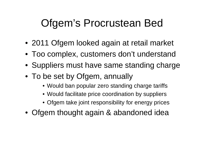## Ofgem's Procrustean Bed

- 2011 Ofgem looked again at retail market
- Too complex, customers don't understand
- Suppliers must have same standing charge
- To be set by Ofgem, annually
	- Would ban popular zero standing charge tariffs
	- Would facilitate price coordination by suppliers
	- Ofgem take joint responsibility for energy prices
- Ofgem thought again & abandoned idea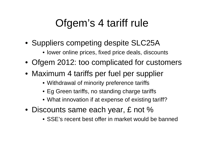# Ofgem's 4 tariff rule

- Suppliers competing despite SLC25A
	- lower online prices, fixed price deals, discounts
- Ofgem 2012: too complicated for customers
- Maximum 4 tariffs per fuel per supplier
	- Withdrawal of minority preference tariffs
	- Eg Green tariffs, no standing charge tariffs
	- What innovation if at expense of existing tariff?
- Discounts same each year, £ not %
	- SSE's recent best offer in market would be banned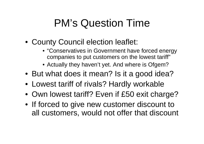# PM's Question Time

- County Council election leaflet:
	- "Conservatives in Government have forced energy companies to put customers on the lowest tariff"
	- Actually they haven't yet. And where is Ofgem?
- But what does it mean? Is it a good idea?
- Lowest tariff of rivals? Hardly workable
- Own lowest tariff? Even if £50 exit charge?
- If forced to give new customer discount to all customers, would not offer that discount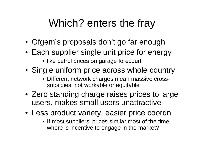# Which? enters the fray

- Ofgem's proposals don't go far enough
- Each supplier single unit price for energy
	- like petrol prices on garage forecourt
- Single uniform price across whole country
	- Different network charges mean massive crosssubsidies, not workable or equitable
- Zero standing charge raises prices to large users, makes small users unattractive
- Less product variety, easier price coordn
	- If most suppliers' prices similar most of the time, where is incentive to engage in the market?